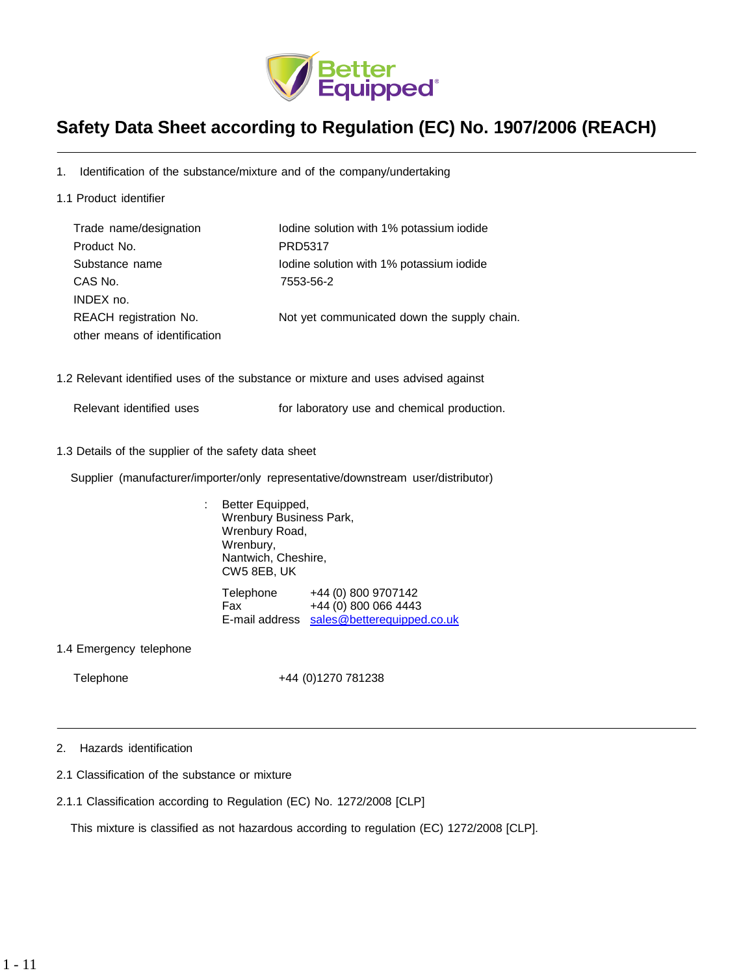

## **Safety Data Sheet according to Regulation (EC) No. 1907/2006 (REACH)**

1. Identification of the substance/mixture and of the company/undertaking

1.1 Product identifier

| Trade name/designation        | Iodine solution with 1% potassium iodide    |
|-------------------------------|---------------------------------------------|
| Product No.                   | PRD5317                                     |
| Substance name                | Iodine solution with 1% potassium iodide    |
| CAS No.                       | 7553-56-2                                   |
| INDEX no.                     |                                             |
| <b>REACH</b> registration No. | Not yet communicated down the supply chain. |
| other means of identification |                                             |

1.2 Relevant identified uses of the substance or mixture and uses advised against

Relevant identified uses for laboratory use and chemical production.

1.3 Details of the supplier of the safety data sheet

Supplier (manufacturer/importer/only representative/downstream user/distributor)

- : Better Equipped, Wrenbury Business Park, Wrenbury Road, Wrenbury, Nantwich, Cheshire, CW5 8EB, UK Telephone +44 (0) 800 9707142 Fax +44 (0) 800 066 4443 E-mail address [sales@betterequipped.co.uk](mailto:sales@betterequipped.co.uk)
- 1.4 Emergency telephone

Telephone +44 (0)1270 781238

- 2. Hazards identification
- 2.1 Classification of the substance or mixture
- 2.1.1 Classification according to Regulation (EC) No. 1272/2008 [CLP]

This mixture is classified as not hazardous according to regulation (EC) 1272/2008 [CLP].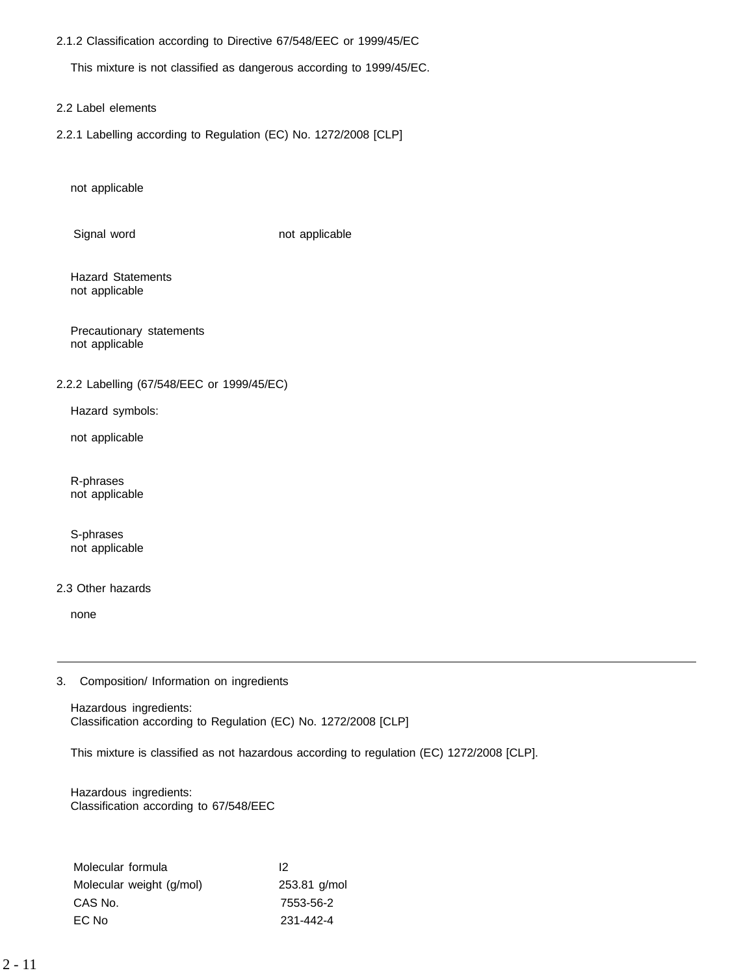2.1.2 Classification according to Directive 67/548/EEC or 1999/45/EC

This mixture is not classified as dangerous according to 1999/45/EC.

- 2.2 Label elements
- 2.2.1 Labelling according to Regulation (EC) No. 1272/2008 [CLP]

not applicable

Signal word not applicable

Hazard Statements not applicable

Precautionary statements not applicable

## 2.2.2 Labelling (67/548/EEC or 1999/45/EC)

Hazard symbols:

not applicable

R-phrases not applicable

S-phrases not applicable

## 2.3 Other hazards

none

3. Composition/ Information on ingredients

Hazardous ingredients: Classification according to Regulation (EC) No. 1272/2008 [CLP]

This mixture is classified as not hazardous according to regulation (EC) 1272/2008 [CLP].

Hazardous ingredients: Classification according to 67/548/EEC

| Molecular formula        | 12           |
|--------------------------|--------------|
| Molecular weight (g/mol) | 253.81 g/mol |
| CAS No.                  | 7553-56-2    |
| EC No                    | 231-442-4    |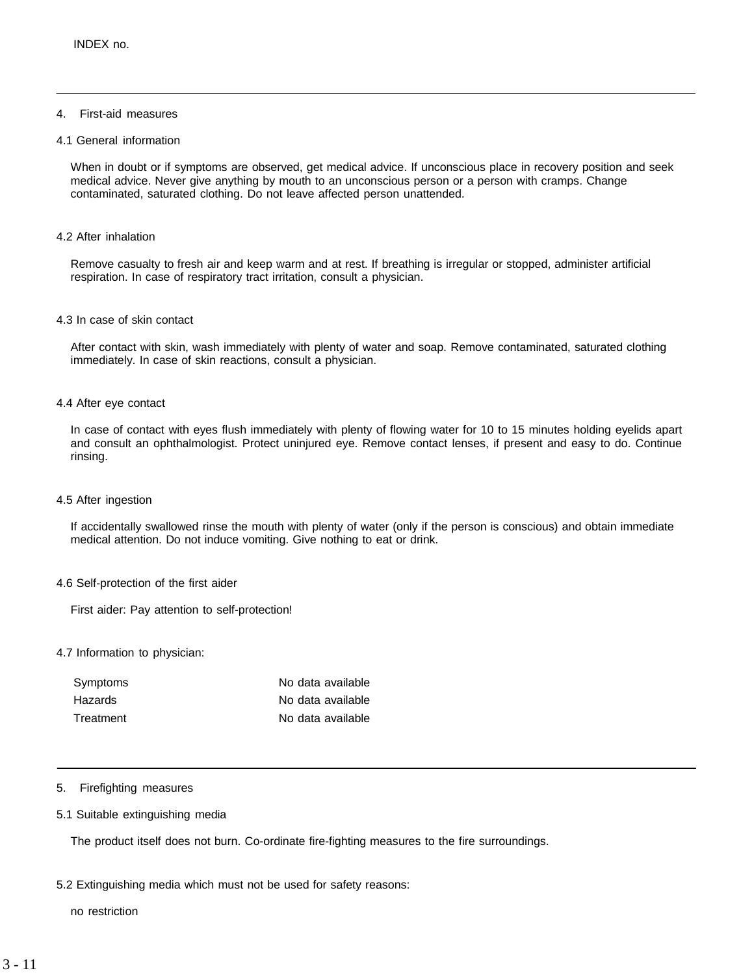## 4. First-aid measures

## 4.1 General information

When in doubt or if symptoms are observed, get medical advice. If unconscious place in recovery position and seek medical advice. Never give anything by mouth to an unconscious person or a person with cramps. Change contaminated, saturated clothing. Do not leave affected person unattended.

## 4.2 After inhalation

Remove casualty to fresh air and keep warm and at rest. If breathing is irregular or stopped, administer artificial respiration. In case of respiratory tract irritation, consult a physician.

#### 4.3 In case of skin contact

After contact with skin, wash immediately with plenty of water and soap. Remove contaminated, saturated clothing immediately. In case of skin reactions, consult a physician.

#### 4.4 After eye contact

In case of contact with eyes flush immediately with plenty of flowing water for 10 to 15 minutes holding eyelids apart and consult an ophthalmologist. Protect uninjured eye. Remove contact lenses, if present and easy to do. Continue rinsing.

## 4.5 After ingestion

If accidentally swallowed rinse the mouth with plenty of water (only if the person is conscious) and obtain immediate medical attention. Do not induce vomiting. Give nothing to eat or drink.

## 4.6 Self-protection of the first aider

First aider: Pay attention to self-protection!

## 4.7 Information to physician:

| Symptoms  | No data available |
|-----------|-------------------|
| Hazards   | No data available |
| Treatment | No data available |

## 5. Firefighting measures

## 5.1 Suitable extinguishing media

The product itself does not burn. Co-ordinate fire-fighting measures to the fire surroundings.

## 5.2 Extinguishing media which must not be used for safety reasons:

no restriction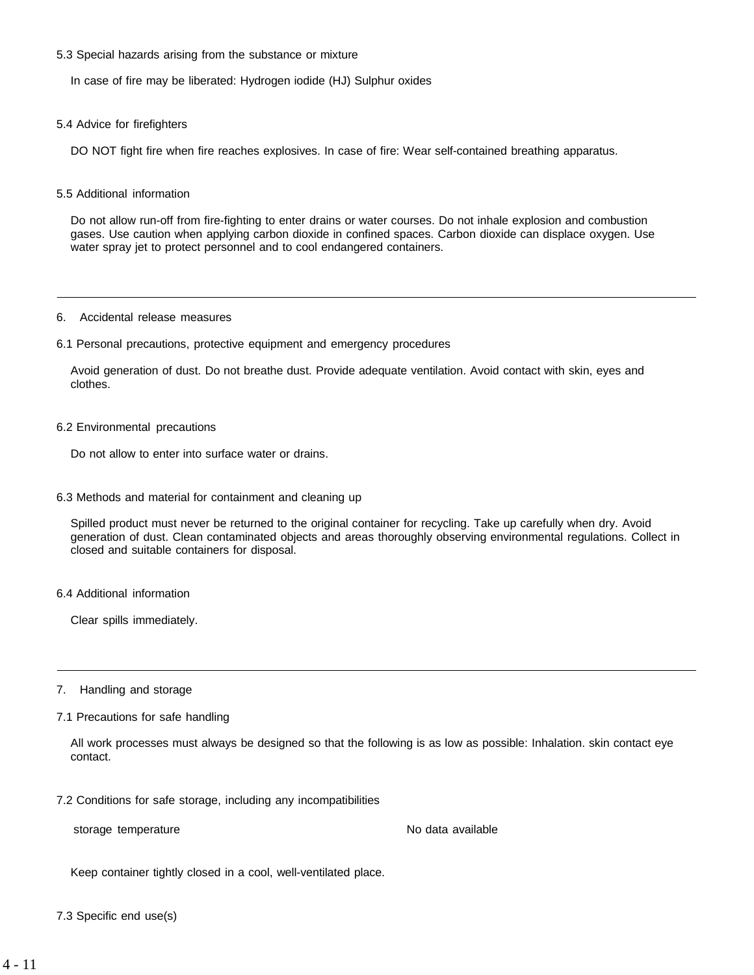## 5.3 Special hazards arising from the substance or mixture

In case of fire may be liberated: Hydrogen iodide (HJ) Sulphur oxides

5.4 Advice for firefighters

DO NOT fight fire when fire reaches explosives. In case of fire: Wear self-contained breathing apparatus.

5.5 Additional information

Do not allow run-off from fire-fighting to enter drains or water courses. Do not inhale explosion and combustion gases. Use caution when applying carbon dioxide in confined spaces. Carbon dioxide can displace oxygen. Use water spray jet to protect personnel and to cool endangered containers.

#### 6. Accidental release measures

6.1 Personal precautions, protective equipment and emergency procedures

Avoid generation of dust. Do not breathe dust. Provide adequate ventilation. Avoid contact with skin, eyes and clothes.

## 6.2 Environmental precautions

Do not allow to enter into surface water or drains.

6.3 Methods and material for containment and cleaning up

Spilled product must never be returned to the original container for recycling. Take up carefully when dry. Avoid generation of dust. Clean contaminated objects and areas thoroughly observing environmental regulations. Collect in closed and suitable containers for disposal.

6.4 Additional information

Clear spills immediately.

- 7. Handling and storage
- 7.1 Precautions for safe handling

All work processes must always be designed so that the following is as low as possible: Inhalation. skin contact eye contact.

7.2 Conditions for safe storage, including any incompatibilities

storage temperature notice and the No data available

Keep container tightly closed in a cool, well-ventilated place.

7.3 Specific end use(s)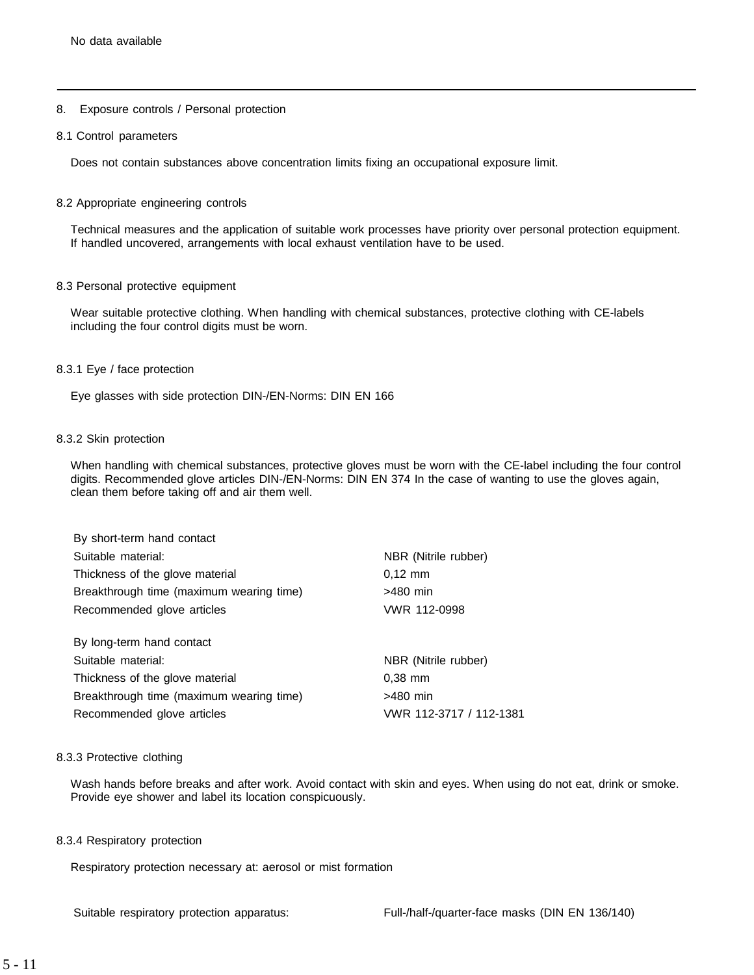## 8. Exposure controls / Personal protection

#### 8.1 Control parameters

Does not contain substances above concentration limits fixing an occupational exposure limit.

#### 8.2 Appropriate engineering controls

Technical measures and the application of suitable work processes have priority over personal protection equipment. If handled uncovered, arrangements with local exhaust ventilation have to be used.

#### 8.3 Personal protective equipment

Wear suitable protective clothing. When handling with chemical substances, protective clothing with CE-labels including the four control digits must be worn.

#### 8.3.1 Eye / face protection

Eye glasses with side protection DIN-/EN-Norms: DIN EN 166

#### 8.3.2 Skin protection

When handling with chemical substances, protective gloves must be worn with the CE-label including the four control digits. Recommended glove articles DIN-/EN-Norms: DIN EN 374 In the case of wanting to use the gloves again, clean them before taking off and air them well.

| By short-term hand contact               |                         |
|------------------------------------------|-------------------------|
| Suitable material:                       | NBR (Nitrile rubber)    |
| Thickness of the glove material          | $0.12 \, \text{mm}$     |
| Breakthrough time (maximum wearing time) | >480 min                |
| Recommended glove articles               | VWR 112-0998            |
| By long-term hand contact                |                         |
| Suitable material:                       | NBR (Nitrile rubber)    |
| Thickness of the glove material          | $0.38$ mm               |
| Breakthrough time (maximum wearing time) | $>480$ min              |
| Recommended glove articles               | VWR 112-3717 / 112-1381 |

#### 8.3.3 Protective clothing

Wash hands before breaks and after work. Avoid contact with skin and eyes. When using do not eat, drink or smoke. Provide eye shower and label its location conspicuously.

#### 8.3.4 Respiratory protection

Respiratory protection necessary at: aerosol or mist formation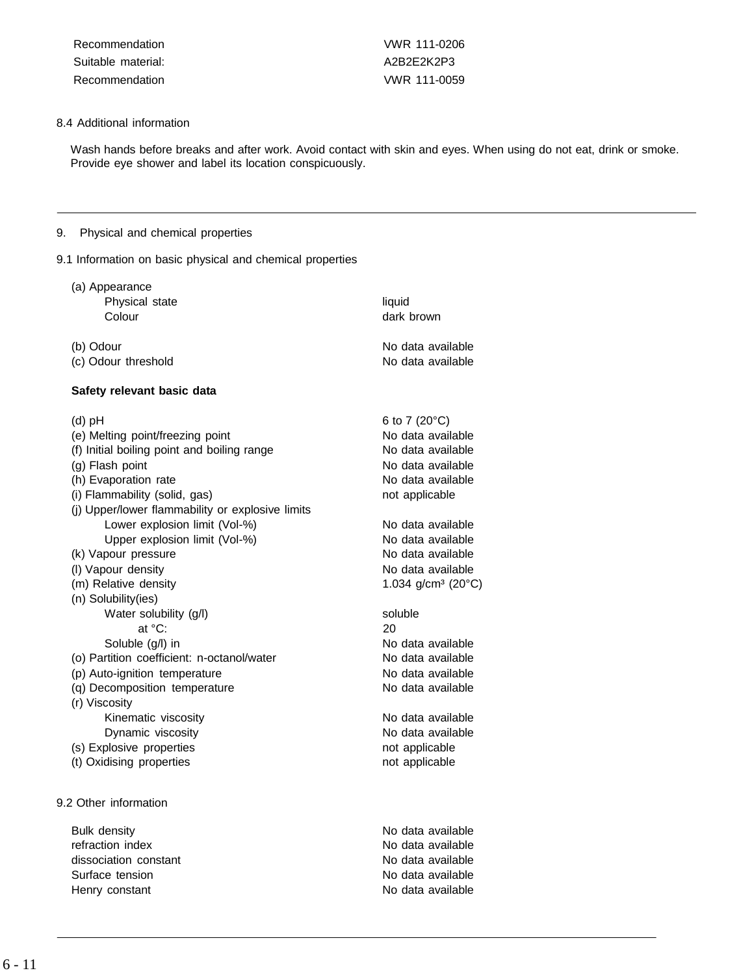Recommendation VWR 111-0206 Suitable material: A2B2E2K2P3 Recommendation VWR 111-0059

## 8.4 Additional information

Wash hands before breaks and after work. Avoid contact with skin and eyes. When using do not eat, drink or smoke. Provide eye shower and label its location conspicuously.

## 9. Physical and chemical properties

9.1 Information on basic physical and chemical properties

| (a) Appearance                                   |                                |
|--------------------------------------------------|--------------------------------|
| Physical state                                   | liquid                         |
| Colour                                           | dark brown                     |
|                                                  |                                |
| (b) Odour                                        | No data available              |
| (c) Odour threshold                              | No data available              |
| Safety relevant basic data                       |                                |
| $(d)$ pH                                         | 6 to 7 (20°C)                  |
| (e) Melting point/freezing point                 | No data available              |
| (f) Initial boiling point and boiling range      | No data available              |
| (g) Flash point                                  | No data available              |
| (h) Evaporation rate                             | No data available              |
| (i) Flammability (solid, gas)                    | not applicable                 |
| (j) Upper/lower flammability or explosive limits |                                |
| Lower explosion limit (Vol-%)                    | No data available              |
| Upper explosion limit (Vol-%)                    | No data available              |
| (k) Vapour pressure                              | No data available              |
| (I) Vapour density                               | No data available              |
| (m) Relative density                             | 1.034 g/cm <sup>3</sup> (20°C) |
| (n) Solubility(ies)                              |                                |
| Water solubility (g/l)                           | soluble                        |
| at °C:                                           | 20                             |
| Soluble (g/l) in                                 | No data available              |
| (o) Partition coefficient: n-octanol/water       | No data available              |
| (p) Auto-ignition temperature                    | No data available              |
| (q) Decomposition temperature                    | No data available              |
| (r) Viscosity                                    |                                |
| Kinematic viscosity                              | No data available              |
| Dynamic viscosity                                | No data available              |
| (s) Explosive properties                         | not applicable                 |
| (t) Oxidising properties                         | not applicable                 |
|                                                  |                                |
| 9.2 Other information                            |                                |
|                                                  |                                |

Bulk density **No data available** No data available refraction index No data available dissociation constant and a set of the No data available Surface tension and a set of the set of the No data available Henry constant **No data available**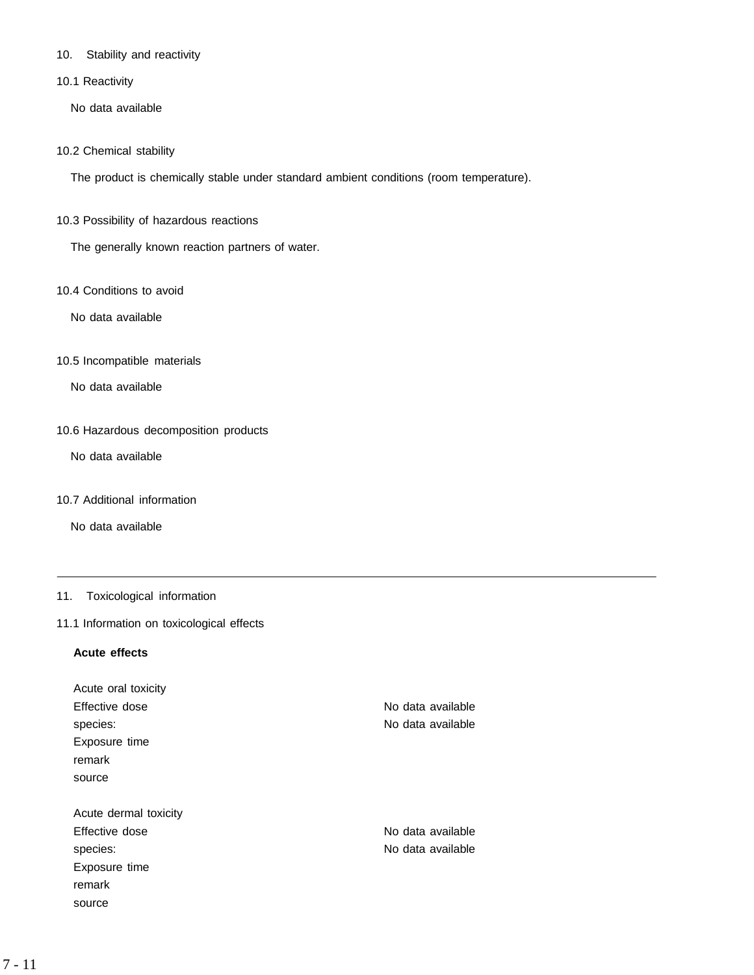## 10. Stability and reactivity

## 10.1 Reactivity

No data available

## 10.2 Chemical stability

The product is chemically stable under standard ambient conditions (room temperature).

10.3 Possibility of hazardous reactions

The generally known reaction partners of water.

10.4 Conditions to avoid

No data available

10.5 Incompatible materials

No data available

## 10.6 Hazardous decomposition products

No data available

10.7 Additional information

No data available

## 11. Toxicological information

## 11.1 Information on toxicological effects

## **Acute effects**

| Acute oral toxicity   |                   |
|-----------------------|-------------------|
| Effective dose        | No data available |
| species:              | No data available |
| Exposure time         |                   |
| remark                |                   |
| source                |                   |
|                       |                   |
| Acute dermal toxicity |                   |
| Effective dose        | No data available |
| species:              | No data available |
| Exposure time         |                   |
| remark                |                   |
| source                |                   |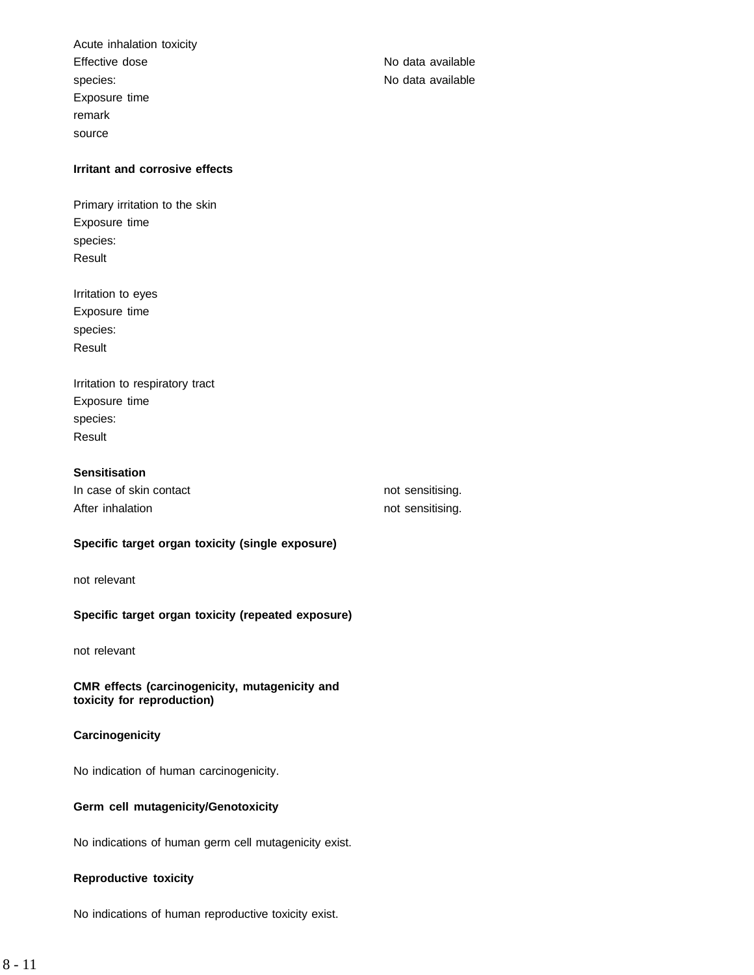Acute inhalation toxicity Effective dose **No assume that a set of the CO** data available species: No data available Exposure time remark source

## **Irritant and corrosive effects**

Primary irritation to the skin Exposure time species: Result

Irritation to eyes Exposure time species: Result

Irritation to respiratory tract Exposure time species: Result

## **Sensitisation**

| In case of skin contact | not sensitising. |
|-------------------------|------------------|
| After inhalation        | not sensitising. |

## **Specific target organ toxicity (single exposure)**

not relevant

## **Specific target organ toxicity (repeated exposure)**

not relevant

**CMR effects (carcinogenicity, mutagenicity and toxicity for reproduction)**

## **Carcinogenicity**

No indication of human carcinogenicity.

## **Germ cell mutagenicity/Genotoxicity**

No indications of human germ cell mutagenicity exist.

## **Reproductive toxicity**

No indications of human reproductive toxicity exist.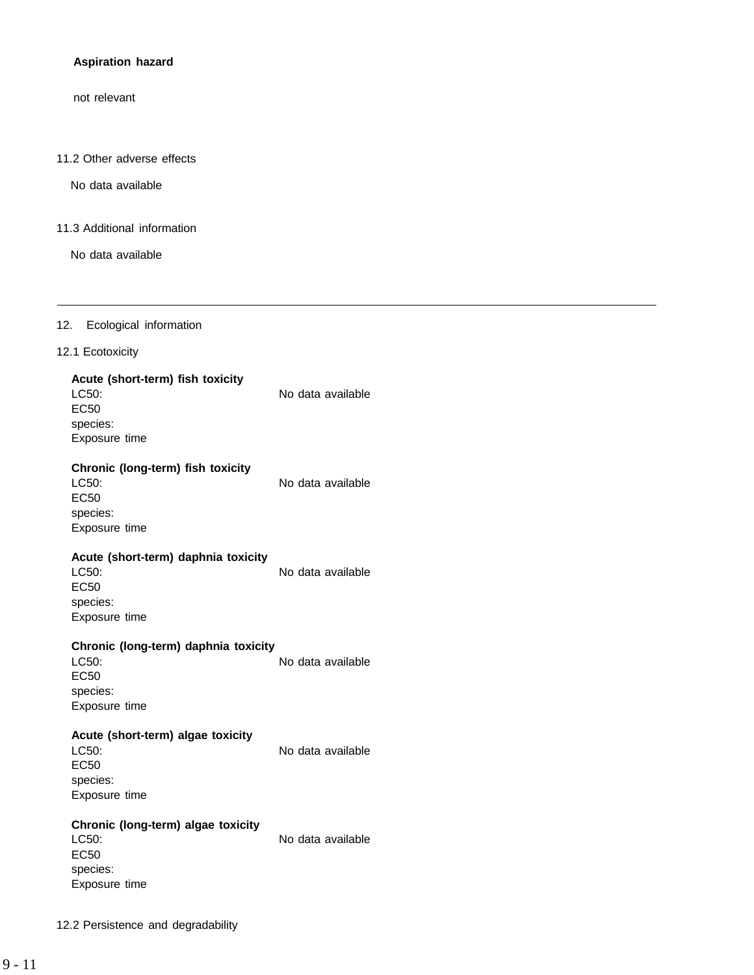## **Aspiration hazard**

not relevant

#### 11.2 Other adverse effects

No data available

## 11.3 Additional information

No data available

## 12. Ecological information

## 12.1 Ecotoxicity

## **Acute (short-term) fish toxicity** LC50: No data available EC50 species: Exposure time

## **Chronic (long-term) fish toxicity**

LC50: No data available EC50 species: Exposure time

## **Acute (short-term) daphnia toxicity**

LC50: No data available EC50 species: Exposure time

## **Chronic (long-term) daphnia toxicity**

LC50: No data available

Exposure time

EC50 species:

EC50 species: Exposure time

## **Acute (short-term) algae toxicity**

LC50: No data available

# **Chronic (long-term) algae toxicity** LC50: No data available

EC50 species: Exposure time

12.2 Persistence and degradability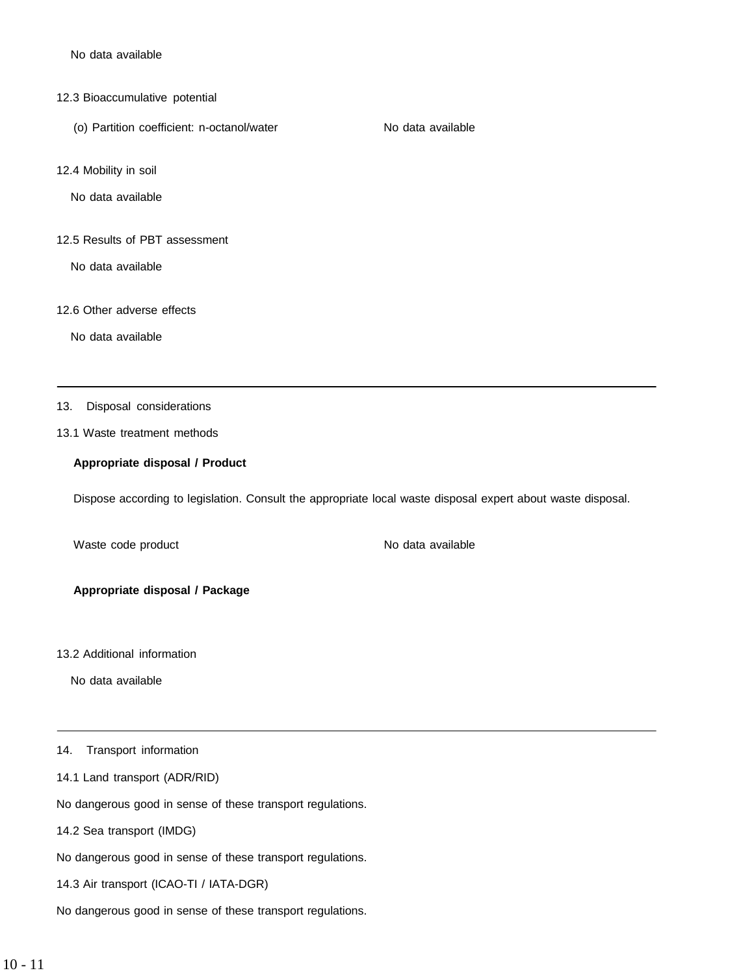No data available

- 12.3 Bioaccumulative potential
	- (o) Partition coefficient: n-octanol/water No data available
- 12.4 Mobility in soil

No data available

12.5 Results of PBT assessment

No data available

12.6 Other adverse effects

No data available

- 13. Disposal considerations
- 13.1 Waste treatment methods

## **Appropriate disposal / Product**

Dispose according to legislation. Consult the appropriate local waste disposal expert about waste disposal.

Waste code product No data available

**Appropriate disposal / Package**

13.2 Additional information

No data available

14. Transport information

14.1 Land transport (ADR/RID)

No dangerous good in sense of these transport regulations.

14.2 Sea transport (IMDG)

No dangerous good in sense of these transport regulations.

14.3 Air transport (ICAO-TI / IATA-DGR)

No dangerous good in sense of these transport regulations.